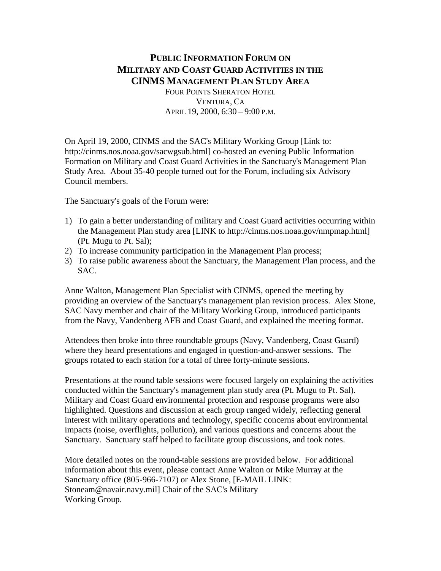# **PUBLIC INFORMATION FORUM ON MILITARY AND COAST GUARD ACTIVITIES IN THE CINMS MANAGEMENT PLAN STUDY AREA** FOUR POINTS SHERATON HOTEL VENTURA, CA APRIL 19, 2000, 6:30 – 9:00 P.M.

On April 19, 2000, CINMS and the SAC's Military Working Group [Link to: http://cinms.nos.noaa.gov/sacwgsub.html] co-hosted an evening Public Information Formation on Military and Coast Guard Activities in the Sanctuary's Management Plan Study Area. About 35-40 people turned out for the Forum, including six Advisory Council members.

The Sanctuary's goals of the Forum were:

- 1) To gain a better understanding of military and Coast Guard activities occurring within the Management Plan study area [LINK to http://cinms.nos.noaa.gov/nmpmap.html] (Pt. Mugu to Pt. Sal);
- 2) To increase community participation in the Management Plan process;
- 3) To raise public awareness about the Sanctuary, the Management Plan process, and the SAC.

Anne Walton, Management Plan Specialist with CINMS, opened the meeting by providing an overview of the Sanctuary's management plan revision process. Alex Stone, SAC Navy member and chair of the Military Working Group, introduced participants from the Navy, Vandenberg AFB and Coast Guard, and explained the meeting format.

Attendees then broke into three roundtable groups (Navy, Vandenberg, Coast Guard) where they heard presentations and engaged in question-and-answer sessions. The groups rotated to each station for a total of three forty-minute sessions.

Presentations at the round table sessions were focused largely on explaining the activities conducted within the Sanctuary's management plan study area (Pt. Mugu to Pt. Sal). Military and Coast Guard environmental protection and response programs were also highlighted. Questions and discussion at each group ranged widely, reflecting general interest with military operations and technology, specific concerns about environmental impacts (noise, overflights, pollution), and various questions and concerns about the Sanctuary. Sanctuary staff helped to facilitate group discussions, and took notes.

More detailed notes on the round-table sessions are provided below. For additional information about this event, please contact Anne Walton or Mike Murray at the Sanctuary office (805-966-7107) or Alex Stone, [E-MAIL LINK: Stoneam@navair.navy.mil] Chair of the SAC's Military Working Group.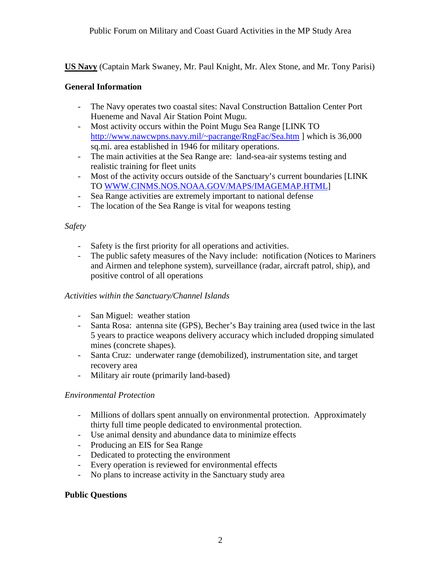**US Navy** (Captain Mark Swaney, Mr. Paul Knight, Mr. Alex Stone, and Mr. Tony Parisi)

## **General Information**

- The Navy operates two coastal sites: Naval Construction Battalion Center Port Hueneme and Naval Air Station Point Mugu.
- Most activity occurs within the Point Mugu Sea Range [LINK TO <http://www.nawcwpns.navy.mil/~pacrange/RngFac/Sea.htm>] which is 36,000 sq.mi. area established in 1946 for military operations.
- The main activities at the Sea Range are: land-sea-air systems testing and realistic training for fleet units
- Most of the activity occurs outside of the Sanctuary's current boundaries [LINK TO [WWW.CINMS.NOS.NOAA.GOV/MAPS/IMAGEMAP.HTML\]](http://www.cinms.nos.noaa.gov/MAPS/IMAGEMAP.HTML)
- Sea Range activities are extremely important to national defense
- The location of the Sea Range is vital for weapons testing

## *Safety*

- Safety is the first priority for all operations and activities.
- The public safety measures of the Navy include: notification (Notices to Mariners and Airmen and telephone system), surveillance (radar, aircraft patrol, ship), and positive control of all operations

#### *Activities within the Sanctuary/Channel Islands*

- San Miguel: weather station
- Santa Rosa: antenna site (GPS), Becher's Bay training area (used twice in the last 5 years to practice weapons delivery accuracy which included dropping simulated mines (concrete shapes).
- Santa Cruz: underwater range (demobilized), instrumentation site, and target recovery area
- Military air route (primarily land-based)

#### *Environmental Protection*

- Millions of dollars spent annually on environmental protection. Approximately thirty full time people dedicated to environmental protection.
- Use animal density and abundance data to minimize effects
- Producing an EIS for Sea Range
- Dedicated to protecting the environment
- Every operation is reviewed for environmental effects
- No plans to increase activity in the Sanctuary study area

# **Public Questions**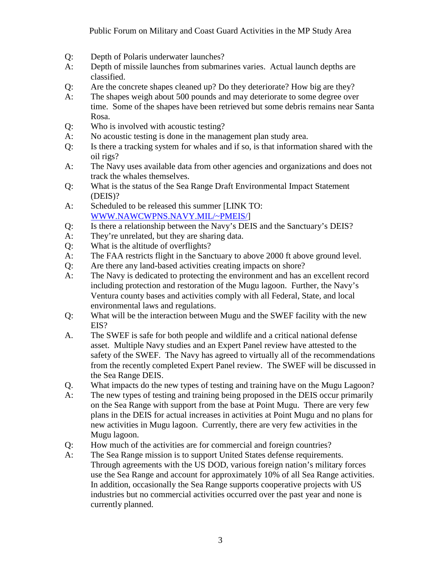- Q: Depth of Polaris underwater launches?
- A: Depth of missile launches from submarines varies. Actual launch depths are classified.
- Q: Are the concrete shapes cleaned up? Do they deteriorate? How big are they?
- A: The shapes weigh about 500 pounds and may deteriorate to some degree over time. Some of the shapes have been retrieved but some debris remains near Santa Rosa.
- Q: Who is involved with acoustic testing?
- A: No acoustic testing is done in the management plan study area.
- Q: Is there a tracking system for whales and if so, is that information shared with the oil rigs?
- A: The Navy uses available data from other agencies and organizations and does not track the whales themselves.
- Q: What is the status of the Sea Range Draft Environmental Impact Statement (DEIS)?
- A: Scheduled to be released this summer [LINK TO: [WWW.NAWCWPNS.NAVY.MIL/~PMEIS/\]](http://www.nawcwpns.navy.mil/~PMEIS/)
- Q: Is there a relationship between the Navy's DEIS and the Sanctuary's DEIS?
- A: They're unrelated, but they are sharing data.
- Q: What is the altitude of overflights?
- A: The FAA restricts flight in the Sanctuary to above 2000 ft above ground level.
- Q: Are there any land-based activities creating impacts on shore?
- A: The Navy is dedicated to protecting the environment and has an excellent record including protection and restoration of the Mugu lagoon. Further, the Navy's Ventura county bases and activities comply with all Federal, State, and local environmental laws and regulations.
- Q: What will be the interaction between Mugu and the SWEF facility with the new EIS?
- A. The SWEF is safe for both people and wildlife and a critical national defense asset. Multiple Navy studies and an Expert Panel review have attested to the safety of the SWEF. The Navy has agreed to virtually all of the recommendations from the recently completed Expert Panel review. The SWEF will be discussed in the Sea Range DEIS.
- Q. What impacts do the new types of testing and training have on the Mugu Lagoon?
- A: The new types of testing and training being proposed in the DEIS occur primarily on the Sea Range with support from the base at Point Mugu. There are very few plans in the DEIS for actual increases in activities at Point Mugu and no plans for new activities in Mugu lagoon. Currently, there are very few activities in the Mugu lagoon.
- Q: How much of the activities are for commercial and foreign countries?
- A: The Sea Range mission is to support United States defense requirements. Through agreements with the US DOD, various foreign nation's military forces use the Sea Range and account for approximately 10% of all Sea Range activities. In addition, occasionally the Sea Range supports cooperative projects with US industries but no commercial activities occurred over the past year and none is currently planned.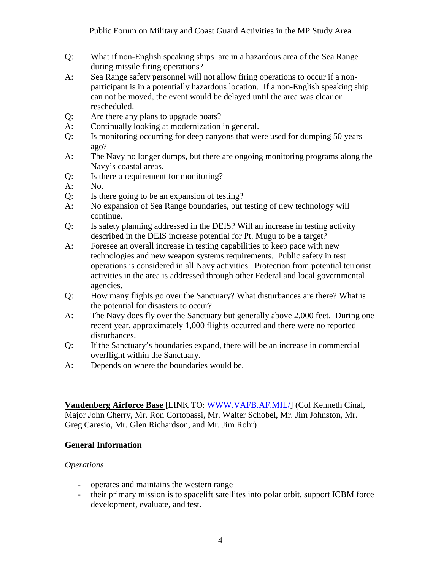- Q: What if non-English speaking ships are in a hazardous area of the Sea Range during missile firing operations?
- A: Sea Range safety personnel will not allow firing operations to occur if a nonparticipant is in a potentially hazardous location. If a non-English speaking ship can not be moved, the event would be delayed until the area was clear or rescheduled.
- Q: Are there any plans to upgrade boats?
- A: Continually looking at modernization in general.
- Q: Is monitoring occurring for deep canyons that were used for dumping 50 years ago?
- A: The Navy no longer dumps, but there are ongoing monitoring programs along the Navy's coastal areas.
- Q: Is there a requirement for monitoring?
- A: No.
- Q: Is there going to be an expansion of testing?
- A: No expansion of Sea Range boundaries, but testing of new technology will continue.
- Q: Is safety planning addressed in the DEIS? Will an increase in testing activity described in the DEIS increase potential for Pt. Mugu to be a target?
- A: Foresee an overall increase in testing capabilities to keep pace with new technologies and new weapon systems requirements. Public safety in test operations is considered in all Navy activities. Protection from potential terrorist activities in the area is addressed through other Federal and local governmental agencies.
- Q: How many flights go over the Sanctuary? What disturbances are there? What is the potential for disasters to occur?
- A: The Navy does fly over the Sanctuary but generally above 2,000 feet. During one recent year, approximately 1,000 flights occurred and there were no reported disturbances.
- Q: If the Sanctuary's boundaries expand, there will be an increase in commercial overflight within the Sanctuary.
- A: Depends on where the boundaries would be.

**Vandenberg Airforce Base** [LINK TO: [WWW.VAFB.AF.MIL/\]](http://www.vafb.af.mil/) (Col Kenneth Cinal, Major John Cherry, Mr. Ron Cortopassi, Mr. Walter Schobel, Mr. Jim Johnston, Mr. Greg Caresio, Mr. Glen Richardson, and Mr. Jim Rohr)

#### **General Information**

#### *Operations*

- operates and maintains the western range
- their primary mission is to spacelift satellites into polar orbit, support ICBM force development, evaluate, and test.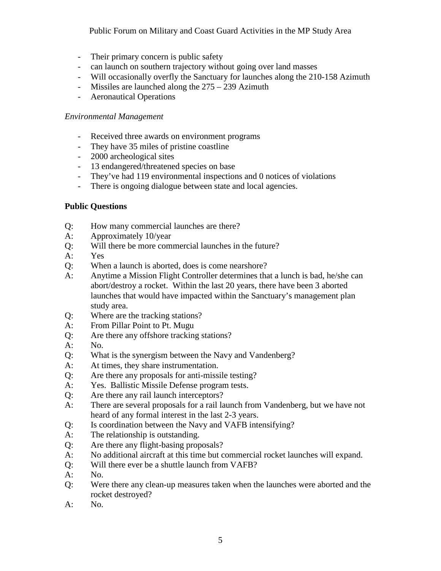#### Public Forum on Military and Coast Guard Activities in the MP Study Area

- Their primary concern is public safety
- can launch on southern trajectory without going over land masses
- Will occasionally overfly the Sanctuary for launches along the 210-158 Azimuth
- Missiles are launched along the  $275 239$  Azimuth
- Aeronautical Operations

#### *Environmental Management*

- Received three awards on environment programs
- They have 35 miles of pristine coastline
- 2000 archeological sites
- 13 endangered/threatened species on base
- They've had 119 environmental inspections and 0 notices of violations
- There is ongoing dialogue between state and local agencies.

## **Public Questions**

- Q: How many commercial launches are there?
- A: Approximately 10/year
- Q: Will there be more commercial launches in the future?
- A: Yes
- Q: When a launch is aborted, does is come nearshore?
- A: Anytime a Mission Flight Controller determines that a lunch is bad, he/she can abort/destroy a rocket. Within the last 20 years, there have been 3 aborted launches that would have impacted within the Sanctuary's management plan study area.
- Q: Where are the tracking stations?
- A: From Pillar Point to Pt. Mugu
- Q: Are there any offshore tracking stations?
- A: No.
- Q: What is the synergism between the Navy and Vandenberg?
- A: At times, they share instrumentation.
- Q: Are there any proposals for anti-missile testing?
- A: Yes. Ballistic Missile Defense program tests.
- Q: Are there any rail launch interceptors?
- A: There are several proposals for a rail launch from Vandenberg, but we have not heard of any formal interest in the last 2-3 years.
- Q: Is coordination between the Navy and VAFB intensifying?
- A: The relationship is outstanding.
- Q: Are there any flight-basing proposals?
- A: No additional aircraft at this time but commercial rocket launches will expand.
- Q: Will there ever be a shuttle launch from VAFB?
- A: No.
- Q: Were there any clean-up measures taken when the launches were aborted and the rocket destroyed?
- $A:$  No.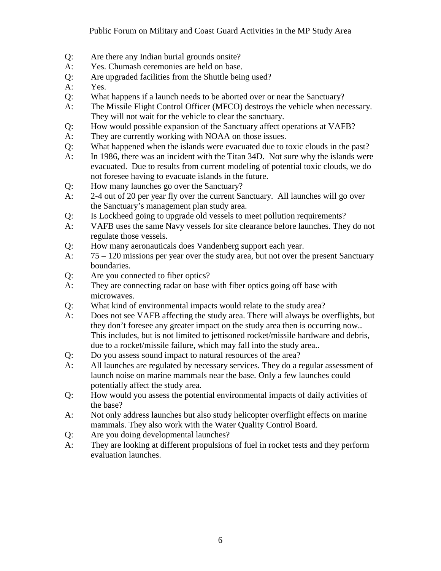- Q: Are there any Indian burial grounds onsite?
- A: Yes. Chumash ceremonies are held on base.
- Q: Are upgraded facilities from the Shuttle being used?
- A: Yes.
- Q: What happens if a launch needs to be aborted over or near the Sanctuary?
- A: The Missile Flight Control Officer (MFCO) destroys the vehicle when necessary. They will not wait for the vehicle to clear the sanctuary.
- Q: How would possible expansion of the Sanctuary affect operations at VAFB?
- A: They are currently working with NOAA on those issues.
- Q: What happened when the islands were evacuated due to toxic clouds in the past?
- A: In 1986, there was an incident with the Titan 34D. Not sure why the islands were evacuated. Due to results from current modeling of potential toxic clouds, we do not foresee having to evacuate islands in the future.
- Q: How many launches go over the Sanctuary?
- A: 2-4 out of 20 per year fly over the current Sanctuary. All launches will go over the Sanctuary's management plan study area.
- Q: Is Lockheed going to upgrade old vessels to meet pollution requirements?
- A: VAFB uses the same Navy vessels for site clearance before launches. They do not regulate those vessels.
- Q: How many aeronauticals does Vandenberg support each year.
- A: 75 120 missions per year over the study area, but not over the present Sanctuary boundaries.
- Q: Are you connected to fiber optics?
- A: They are connecting radar on base with fiber optics going off base with microwaves.
- Q: What kind of environmental impacts would relate to the study area?
- A: Does not see VAFB affecting the study area. There will always be overflights, but they don't foresee any greater impact on the study area then is occurring now.. This includes, but is not limited to jettisoned rocket/missile hardware and debris, due to a rocket/missile failure, which may fall into the study area..
- Q: Do you assess sound impact to natural resources of the area?
- A: All launches are regulated by necessary services. They do a regular assessment of launch noise on marine mammals near the base. Only a few launches could potentially affect the study area.
- Q: How would you assess the potential environmental impacts of daily activities of the base?
- A: Not only address launches but also study helicopter overflight effects on marine mammals. They also work with the Water Quality Control Board.
- Q: Are you doing developmental launches?
- A: They are looking at different propulsions of fuel in rocket tests and they perform evaluation launches.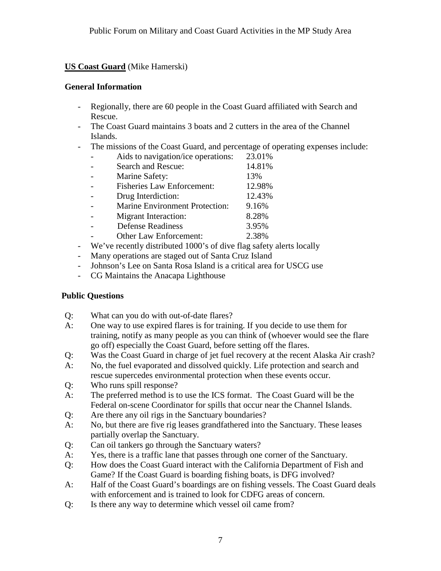# **US Coast Guard** (Mike Hamerski)

#### **General Information**

- Regionally, there are 60 people in the Coast Guard affiliated with Search and Rescue.
- The Coast Guard maintains 3 boats and 2 cutters in the area of the Channel Islands.
- The missions of the Coast Guard, and percentage of operating expenses include:

| Aids to navigation/ice operations:                    | 23.01% |
|-------------------------------------------------------|--------|
| Search and Rescue:                                    | 14.81% |
| Marine Safety:                                        | 13%    |
| <b>Fisheries Law Enforcement:</b>                     | 12.98% |
| Drug Interdiction:                                    | 12.43% |
| <b>Marine Environment Protection:</b>                 | 9.16%  |
| Migrant Interaction:                                  | 8.28%  |
| <b>Defense Readiness</b>                              | 3.95%  |
| Other Law Enforcement:                                | 2.38%  |
| We've receptly distributed 1000's of dive flag safety |        |

- We've recently distributed 1000's of dive flag safety alerts locally
- Many operations are staged out of Santa Cruz Island
- Johnson's Lee on Santa Rosa Island is a critical area for USCG use
- CG Maintains the Anacapa Lighthouse

#### **Public Questions**

- Q: What can you do with out-of-date flares?
- A: One way to use expired flares is for training. If you decide to use them for training, notify as many people as you can think of (whoever would see the flare go off) especially the Coast Guard, before setting off the flares.
- Q: Was the Coast Guard in charge of jet fuel recovery at the recent Alaska Air crash?
- A: No, the fuel evaporated and dissolved quickly. Life protection and search and rescue supercedes environmental protection when these events occur.
- Q: Who runs spill response?
- A: The preferred method is to use the ICS format. The Coast Guard will be the Federal on-scene Coordinator for spills that occur near the Channel Islands.
- Q: Are there any oil rigs in the Sanctuary boundaries?
- A: No, but there are five rig leases grandfathered into the Sanctuary. These leases partially overlap the Sanctuary.
- Q: Can oil tankers go through the Sanctuary waters?
- A: Yes, there is a traffic lane that passes through one corner of the Sanctuary.
- Q: How does the Coast Guard interact with the California Department of Fish and Game? If the Coast Guard is boarding fishing boats, is DFG involved?
- A: Half of the Coast Guard's boardings are on fishing vessels. The Coast Guard deals with enforcement and is trained to look for CDFG areas of concern.
- Q: Is there any way to determine which vessel oil came from?